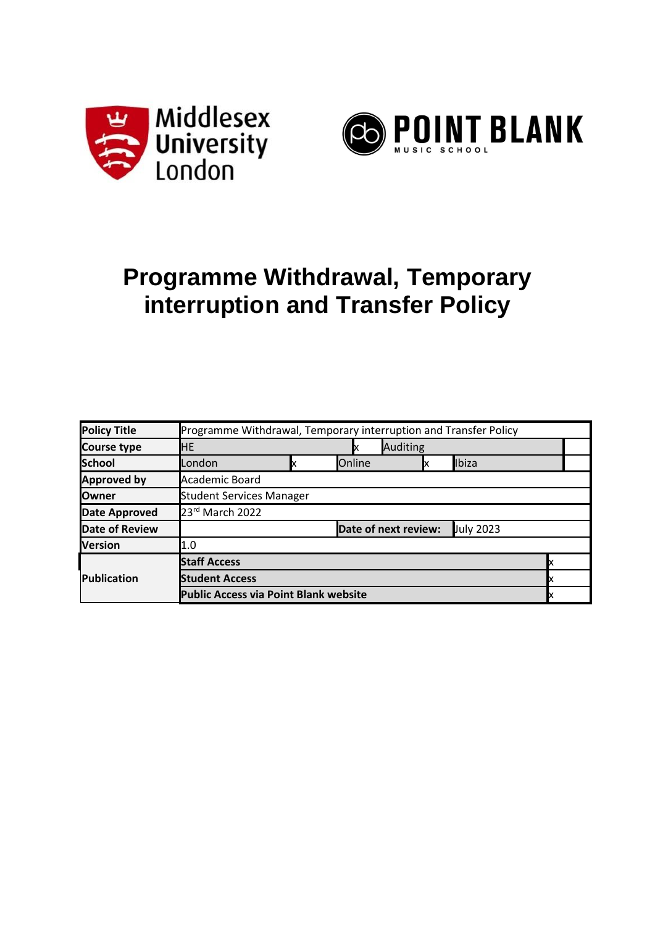



# **Programme Withdrawal, Temporary interruption and Transfer Policy**

| <b>Policy Title</b>   | Programme Withdrawal, Temporary interruption and Transfer Policy |    |                 |                      |           |  |  |  |
|-----------------------|------------------------------------------------------------------|----|-----------------|----------------------|-----------|--|--|--|
| <b>Course type</b>    | HE                                                               | IX | <b>Auditing</b> |                      |           |  |  |  |
| <b>School</b>         | London                                                           |    | Online          | IX                   | Ibiza     |  |  |  |
| <b>Approved by</b>    | Academic Board                                                   |    |                 |                      |           |  |  |  |
| <b>Owner</b>          | <b>Student Services Manager</b>                                  |    |                 |                      |           |  |  |  |
| <b>Date Approved</b>  | 23rd March 2022                                                  |    |                 |                      |           |  |  |  |
| <b>Date of Review</b> |                                                                  |    |                 | Date of next review: | July 2023 |  |  |  |
| <b>Version</b>        | 1.0                                                              |    |                 |                      |           |  |  |  |
| Publication           | <b>Staff Access</b>                                              |    |                 |                      |           |  |  |  |
|                       | <b>Student Access</b>                                            |    |                 |                      |           |  |  |  |
|                       | <b>Public Access via Point Blank website</b>                     |    |                 |                      |           |  |  |  |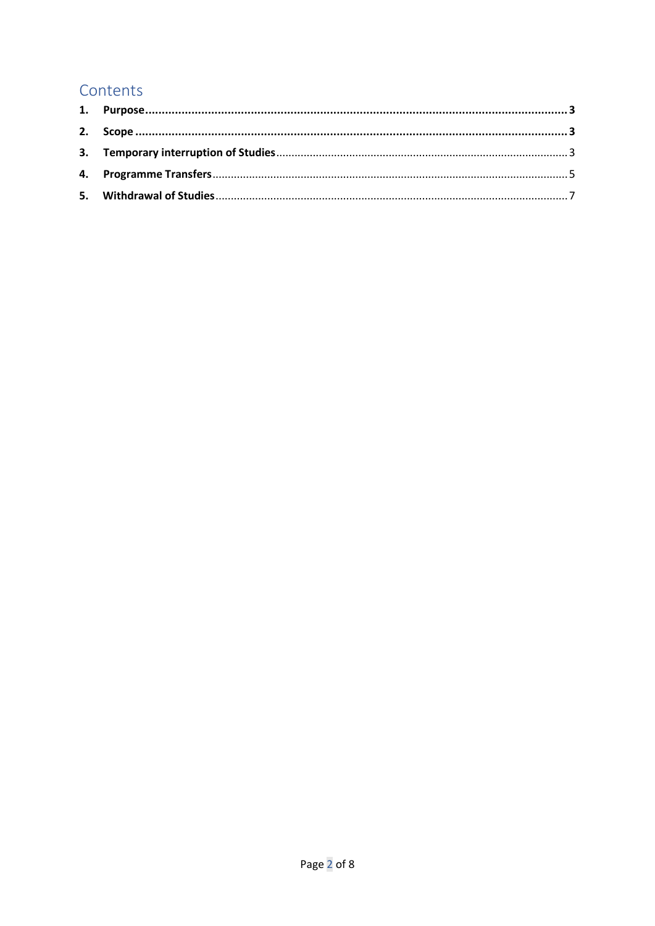# Contents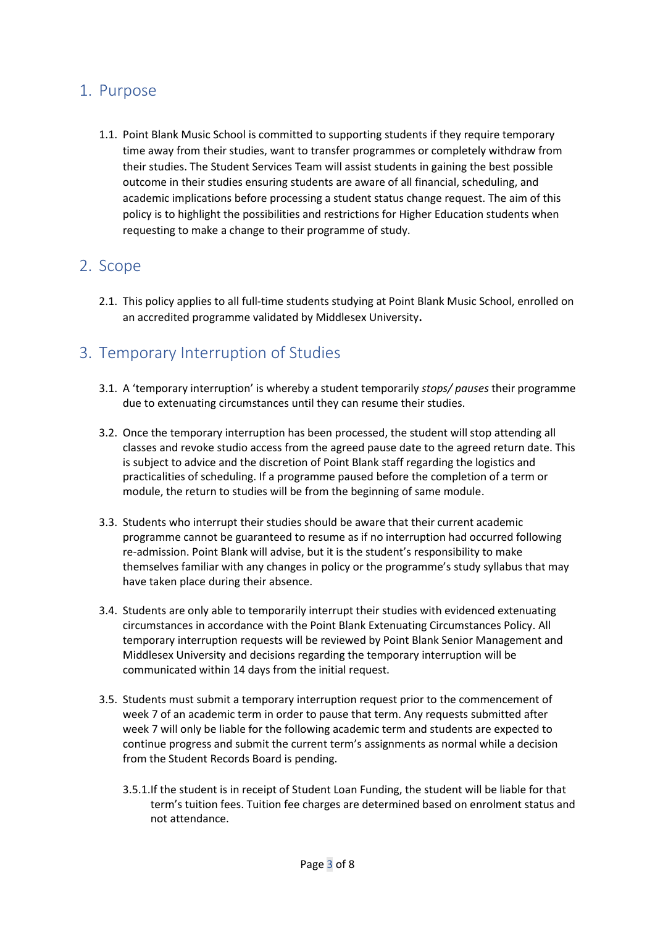## <span id="page-2-0"></span>1. Purpose

1.1. Point Blank Music School is committed to supporting students if they require temporary time away from their studies, want to transfer programmes or completely withdraw from their studies. The Student Services Team will assist students in gaining the best possible outcome in their studies ensuring students are aware of all financial, scheduling, and academic implications before processing a student status change request. The aim of this policy is to highlight the possibilities and restrictions for Higher Education students when requesting to make a change to their programme of study.

## <span id="page-2-1"></span>2. Scope

2.1. This policy applies to all full-time students studying at Point Blank Music School, enrolled on an accredited programme validated by Middlesex University**.**

## <span id="page-2-2"></span>3. Temporary Interruption of Studies

- 3.1. A 'temporary interruption' is whereby a student temporarily *stops/ pauses* their programme due to extenuating circumstances until they can resume their studies.
- 3.2. Once the temporary interruption has been processed, the student will stop attending all classes and revoke studio access from the agreed pause date to the agreed return date. This is subject to advice and the discretion of Point Blank staff regarding the logistics and practicalities of scheduling. If a programme paused before the completion of a term or module, the return to studies will be from the beginning of same module.
- 3.3. Students who interrupt their studies should be aware that their current academic programme cannot be guaranteed to resume as if no interruption had occurred following re-admission. Point Blank will advise, but it is the student's responsibility to make themselves familiar with any changes in policy or the programme's study syllabus that may have taken place during their absence.
- 3.4. Students are only able to temporarily interrupt their studies with evidenced extenuating circumstances in accordance with the Point Blank Extenuating Circumstances Policy. All temporary interruption requests will be reviewed by Point Blank Senior Management and Middlesex University and decisions regarding the temporary interruption will be communicated within 14 days from the initial request.
- 3.5. Students must submit a temporary interruption request prior to the commencement of week 7 of an academic term in order to pause that term. Any requests submitted after week 7 will only be liable for the following academic term and students are expected to continue progress and submit the current term's assignments as normal while a decision from the Student Records Board is pending.
	- 3.5.1.If the student is in receipt of Student Loan Funding, the student will be liable for that term's tuition fees. Tuition fee charges are determined based on enrolment status and not attendance.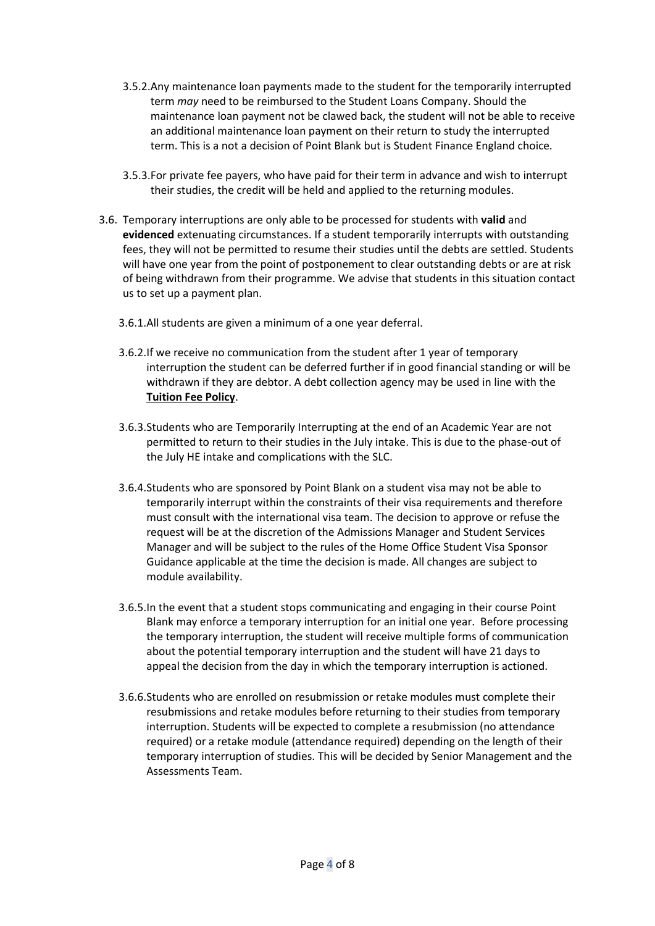- 3.5.2.Any maintenance loan payments made to the student for the temporarily interrupted term *may* need to be reimbursed to the Student Loans Company. Should the maintenance loan payment not be clawed back, the student will not be able to receive an additional maintenance loan payment on their return to study the interrupted term. This is a not a decision of Point Blank but is Student Finance England choice.
- 3.5.3.For private fee payers, who have paid for their term in advance and wish to interrupt their studies, the credit will be held and applied to the returning modules.
- 3.6. Temporary interruptions are only able to be processed for students with **valid** and **evidenced** extenuating circumstances. If a student temporarily interrupts with outstanding fees, they will not be permitted to resume their studies until the debts are settled. Students will have one year from the point of postponement to clear outstanding debts or are at risk of being withdrawn from their programme. We advise that students in this situation contact us to set up a payment plan.
	- 3.6.1.All students are given a minimum of a one year deferral.
	- 3.6.2.If we receive no communication from the student after 1 year of temporary interruption the student can be deferred further if in good financial standing or will be withdrawn if they are debtor. A debt collection agency may be used in line with the **Tuition Fee Policy**.
	- 3.6.3.Students who are Temporarily Interrupting at the end of an Academic Year are not permitted to return to their studies in the July intake. This is due to the phase-out of the July HE intake and complications with the SLC.
	- 3.6.4.Students who are sponsored by Point Blank on a student visa may not be able to temporarily interrupt within the constraints of their visa requirements and therefore must consult with the international visa team. The decision to approve or refuse the request will be at the discretion of the Admissions Manager and Student Services Manager and will be subject to the rules of the Home Office Student Visa Sponsor Guidance applicable at the time the decision is made. All changes are subject to module availability.
	- 3.6.5.In the event that a student stops communicating and engaging in their course Point Blank may enforce a temporary interruption for an initial one year. Before processing the temporary interruption, the student will receive multiple forms of communication about the potential temporary interruption and the student will have 21 days to appeal the decision from the day in which the temporary interruption is actioned.
	- 3.6.6.Students who are enrolled on resubmission or retake modules must complete their resubmissions and retake modules before returning to their studies from temporary interruption. Students will be expected to complete a resubmission (no attendance required) or a retake module (attendance required) depending on the length of their temporary interruption of studies. This will be decided by Senior Management and the Assessments Team.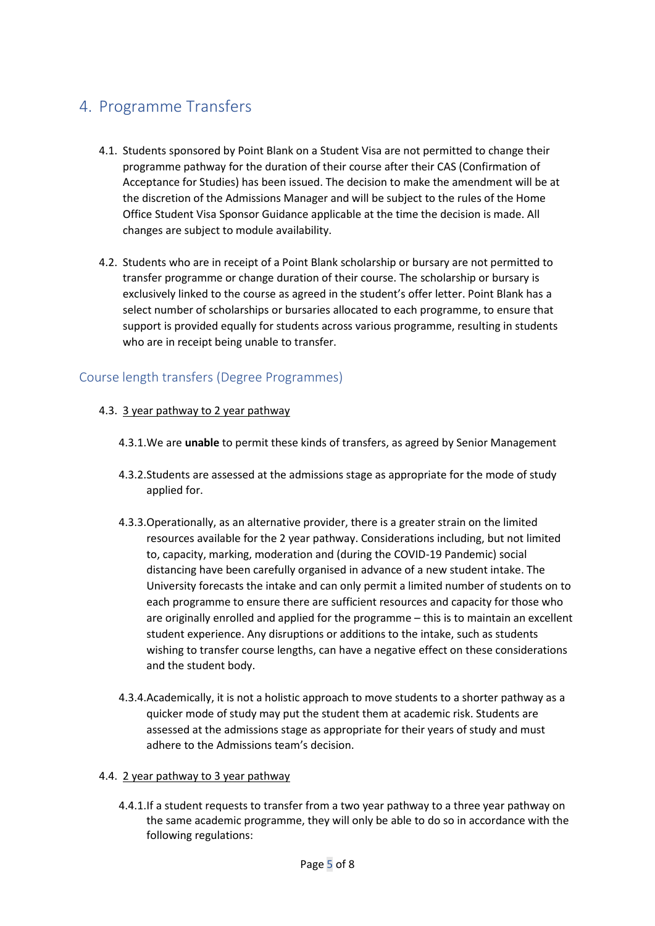# <span id="page-4-0"></span>4. Programme Transfers

- 4.1. Students sponsored by Point Blank on a Student Visa are not permitted to change their programme pathway for the duration of their course after their CAS (Confirmation of Acceptance for Studies) has been issued. The decision to make the amendment will be at the discretion of the Admissions Manager and will be subject to the rules of the Home Office Student Visa Sponsor Guidance applicable at the time the decision is made. All changes are subject to module availability.
- 4.2. Students who are in receipt of a Point Blank scholarship or bursary are not permitted to transfer programme or change duration of their course. The scholarship or bursary is exclusively linked to the course as agreed in the student's offer letter. Point Blank has a select number of scholarships or bursaries allocated to each programme, to ensure that support is provided equally for students across various programme, resulting in students who are in receipt being unable to transfer.

## Course length transfers (Degree Programmes)

## 4.3. 3 year pathway to 2 year pathway

- 4.3.1.We are **unable** to permit these kinds of transfers, as agreed by Senior Management
- 4.3.2.Students are assessed at the admissions stage as appropriate for the mode of study applied for.
- 4.3.3.Operationally, as an alternative provider, there is a greater strain on the limited resources available for the 2 year pathway. Considerations including, but not limited to, capacity, marking, moderation and (during the COVID-19 Pandemic) social distancing have been carefully organised in advance of a new student intake. The University forecasts the intake and can only permit a limited number of students on to each programme to ensure there are sufficient resources and capacity for those who are originally enrolled and applied for the programme – this is to maintain an excellent student experience. Any disruptions or additions to the intake, such as students wishing to transfer course lengths, can have a negative effect on these considerations and the student body.
- 4.3.4.Academically, it is not a holistic approach to move students to a shorter pathway as a quicker mode of study may put the student them at academic risk. Students are assessed at the admissions stage as appropriate for their years of study and must adhere to the Admissions team's decision.

#### 4.4. 2 year pathway to 3 year pathway

4.4.1.If a student requests to transfer from a two year pathway to a three year pathway on the same academic programme, they will only be able to do so in accordance with the following regulations: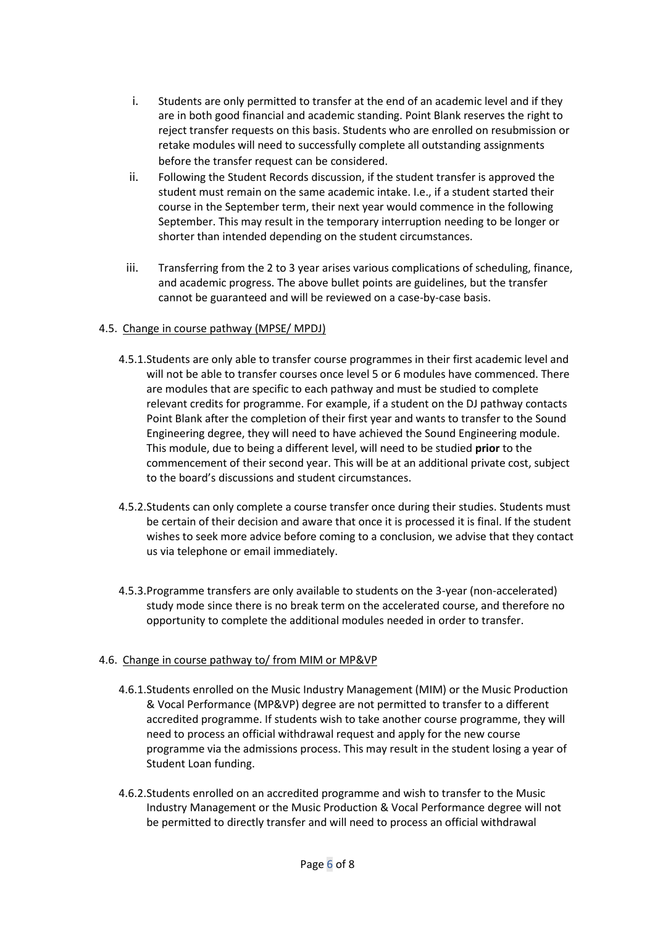- i. Students are only permitted to transfer at the end of an academic level and if they are in both good financial and academic standing. Point Blank reserves the right to reject transfer requests on this basis. Students who are enrolled on resubmission or retake modules will need to successfully complete all outstanding assignments before the transfer request can be considered.
- ii. Following the Student Records discussion, if the student transfer is approved the student must remain on the same academic intake. I.e., if a student started their course in the September term, their next year would commence in the following September. This may result in the temporary interruption needing to be longer or shorter than intended depending on the student circumstances.
- iii. Transferring from the 2 to 3 year arises various complications of scheduling, finance, and academic progress. The above bullet points are guidelines, but the transfer cannot be guaranteed and will be reviewed on a case-by-case basis.

## 4.5. Change in course pathway (MPSE/ MPDJ)

- 4.5.1.Students are only able to transfer course programmes in their first academic level and will not be able to transfer courses once level 5 or 6 modules have commenced. There are modules that are specific to each pathway and must be studied to complete relevant credits for programme. For example, if a student on the DJ pathway contacts Point Blank after the completion of their first year and wants to transfer to the Sound Engineering degree, they will need to have achieved the Sound Engineering module. This module, due to being a different level, will need to be studied **prior** to the commencement of their second year. This will be at an additional private cost, subject to the board's discussions and student circumstances.
- 4.5.2.Students can only complete a course transfer once during their studies. Students must be certain of their decision and aware that once it is processed it is final. If the student wishes to seek more advice before coming to a conclusion, we advise that they contact us via [telephone](mailto:https://www.pointblankmusicschool.com/about-point-blank/about-london-school/how-to-find-us-in-london/) o[r email](mailto:support@pointblankmusicschool.com?subject=Temporary%20Interruption%20Advice) immediately.
- 4.5.3.Programme transfers are only available to students on the 3-year (non-accelerated) study mode since there is no break term on the accelerated course, and therefore no opportunity to complete the additional modules needed in order to transfer.

## 4.6. Change in course pathway to/ from MIM or MP&VP

- 4.6.1.Students enrolled on the Music Industry Management (MIM) or the Music Production & Vocal Performance (MP&VP) degree are not permitted to transfer to a different accredited programme. If students wish to take another course programme, they will need to process an official withdrawal request and apply for the new course programme via the admissions process. This may result in the student losing a year of Student Loan funding.
- 4.6.2.Students enrolled on an accredited programme and wish to transfer to the Music Industry Management or the Music Production & Vocal Performance degree will not be permitted to directly transfer and will need to process an official withdrawal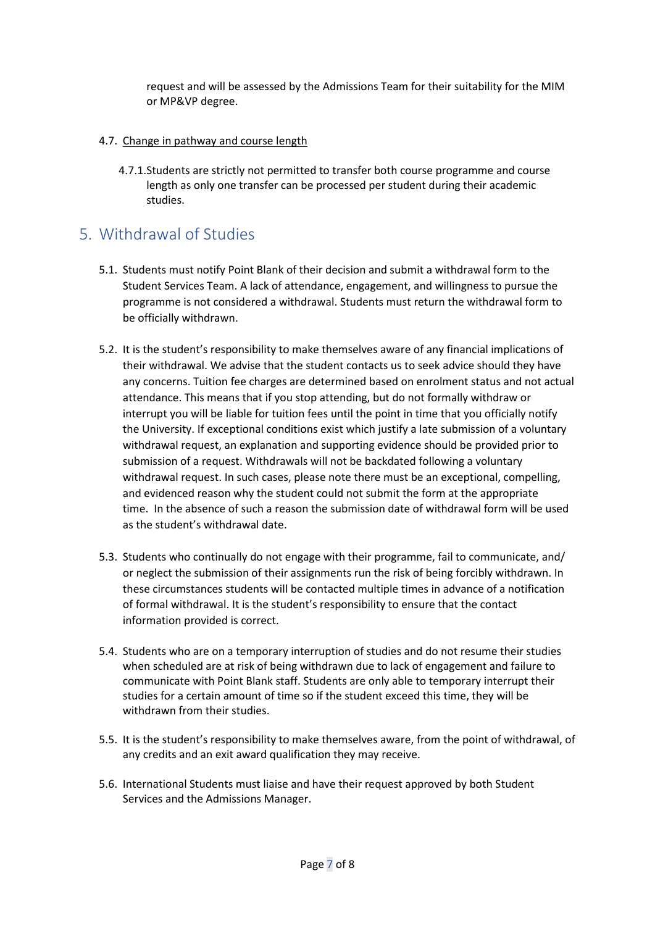request and will be assessed by the Admissions Team for their suitability for the MIM or MP&VP degree.

- 4.7. Change in pathway and course length
	- 4.7.1.Students are strictly not permitted to transfer both course programme and course length as only one transfer can be processed per student during their academic studies.

# <span id="page-6-0"></span>5. Withdrawal of Studies

- 5.1. Students must notify Point Blank of their decision and submit a withdrawal form to the Student Services Team. A lack of attendance, engagement, and willingness to pursue the programme is not considered a withdrawal. Students must return the withdrawal form to be officially withdrawn.
- 5.2. It is the student's responsibility to make themselves aware of any financial implications of their withdrawal. We advise that the student contacts us to seek advice should they have any concerns. Tuition fee charges are determined based on enrolment status and not actual attendance. This means that if you stop attending, but do not formally withdraw or interrupt you will be liable for tuition fees until the point in time that you officially notify the University. If exceptional conditions exist which justify a late submission of a voluntary withdrawal request, an explanation and supporting evidence should be provided prior to submission of a request. Withdrawals will not be backdated following a voluntary withdrawal request. In such cases, please note there must be an exceptional, compelling, and evidenced reason why the student could not submit the form at the appropriate time. In the absence of such a reason the submission date of withdrawal form will be used as the student's withdrawal date.
- 5.3. Students who continually do not engage with their programme, fail to communicate, and/ or neglect the submission of their assignments run the risk of being forcibly withdrawn. In these circumstances students will be contacted multiple times in advance of a notification of formal withdrawal. It is the student's responsibility to ensure that the contact information provided is correct.
- 5.4. Students who are on a temporary interruption of studies and do not resume their studies when scheduled are at risk of being withdrawn due to lack of engagement and failure to communicate with Point Blank staff. Students are only able to temporary interrupt their studies for a certain amount of time so if the student exceed this time, they will be withdrawn from their studies.
- 5.5. It is the student's responsibility to make themselves aware, from the point of withdrawal, of any credits and an exit award qualification they may receive.
- 5.6. International Students must liaise and have their request approved by both Student Services and the Admissions Manager.